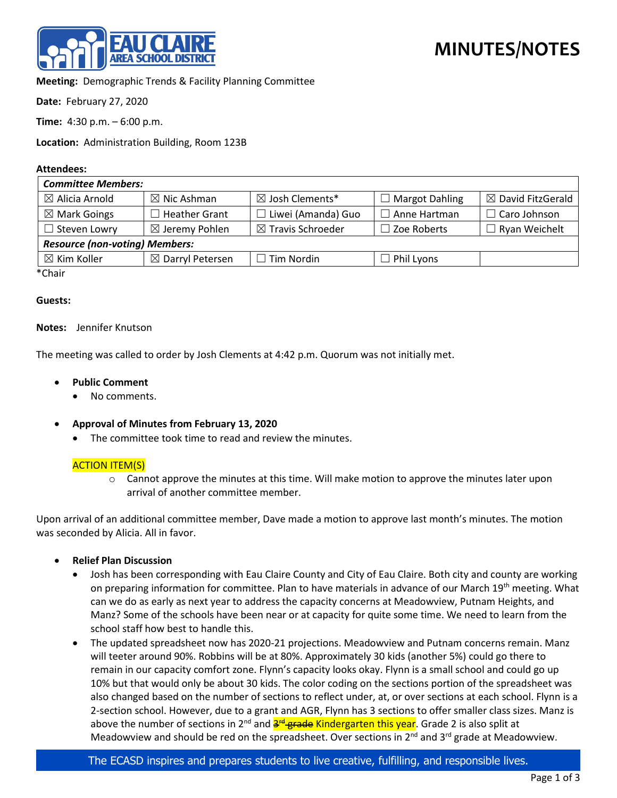

**Meeting:** Demographic Trends & Facility Planning Committee

**Date:** February 27, 2020

**Time:** 4:30 p.m. – 6:00 p.m.

**Location:** Administration Building, Room 123B

### **Attendees:**

| <b>Committee Members:</b>             |                             |                              |                       |                              |
|---------------------------------------|-----------------------------|------------------------------|-----------------------|------------------------------|
| $\boxtimes$ Alicia Arnold             | $\boxtimes$ Nic Ashman      | $\boxtimes$ Josh Clements*   | $\Box$ Margot Dahling | $\boxtimes$ David FitzGerald |
| $\boxtimes$ Mark Goings               | <b>Heather Grant</b>        | $\Box$ Liwei (Amanda) Guo    | l Anne Hartman        | $\Box$ Caro Johnson          |
| $\Box$ Steven Lowry                   | $\boxtimes$ Jeremy Pohlen   | $\boxtimes$ Travis Schroeder | $\Box$ Zoe Roberts    | $\Box$ Ryan Weichelt         |
| <b>Resource (non-voting) Members:</b> |                             |                              |                       |                              |
| $\boxtimes$ Kim Koller                | $\boxtimes$ Darryl Petersen | $\Box$ Tim Nordin            | Phil Lyons            |                              |
| $*$ Chair                             |                             |                              |                       |                              |

\*Chair

#### **Guests:**

### **Notes:** Jennifer Knutson

The meeting was called to order by Josh Clements at 4:42 p.m. Quorum was not initially met.

- **Public Comment**
	- No comments.
- **Approval of Minutes from February 13, 2020**
	- The committee took time to read and review the minutes.

# ACTION ITEM(S)

 $\circ$  Cannot approve the minutes at this time. Will make motion to approve the minutes later upon arrival of another committee member.

Upon arrival of an additional committee member, Dave made a motion to approve last month's minutes. The motion was seconded by Alicia. All in favor.

- **Relief Plan Discussion**
	- Josh has been corresponding with Eau Claire County and City of Eau Claire. Both city and county are working on preparing information for committee. Plan to have materials in advance of our March 19<sup>th</sup> meeting. What can we do as early as next year to address the capacity concerns at Meadowview, Putnam Heights, and Manz? Some of the schools have been near or at capacity for quite some time. We need to learn from the school staff how best to handle this.
	- The updated spreadsheet now has 2020-21 projections. Meadowview and Putnam concerns remain. Manz will teeter around 90%. Robbins will be at 80%. Approximately 30 kids (another 5%) could go there to remain in our capacity comfort zone. Flynn's capacity looks okay. Flynn is a small school and could go up 10% but that would only be about 30 kids. The color coding on the sections portion of the spreadsheet was also changed based on the number of sections to reflect under, at, or over sections at each school. Flynn is a 2-section school. However, due to a grant and AGR, Flynn has 3 sections to offer smaller class sizes. Manz is above the number of sections in 2<sup>nd</sup> and **3<sup>rd</sup> grade Kindergarten this year**. Grade 2 is also split at Meadowview and should be red on the spreadsheet. Over sections in  $2^{nd}$  and  $3^{rd}$  grade at Meadowview.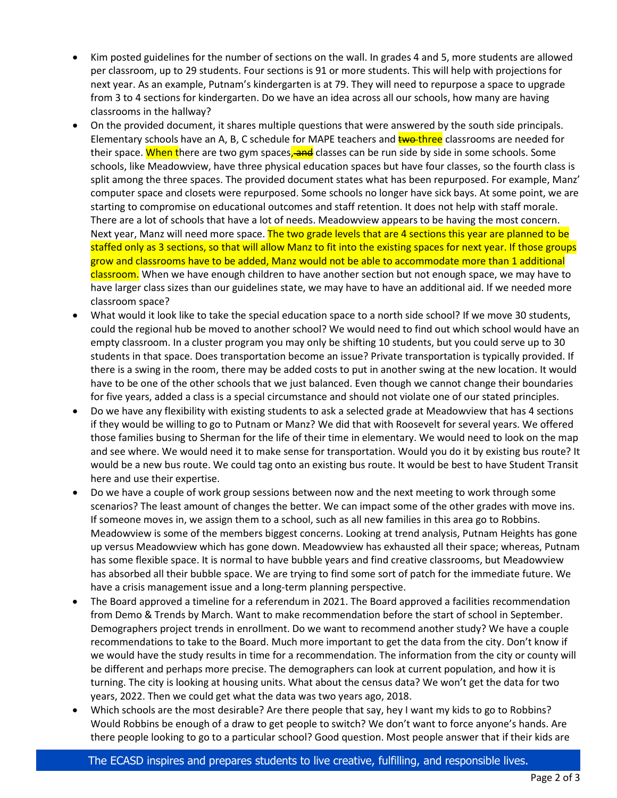- Kim posted guidelines for the number of sections on the wall. In grades 4 and 5, more students are allowed per classroom, up to 29 students. Four sections is 91 or more students. This will help with projections for next year. As an example, Putnam's kindergarten is at 79. They will need to repurpose a space to upgrade from 3 to 4 sections for kindergarten. Do we have an idea across all our schools, how many are having classrooms in the hallway?
- On the provided document, it shares multiple questions that were answered by the south side principals. Elementary schools have an A, B, C schedule for MAPE teachers and **two-three** classrooms are needed for their space. When there are two gym spaces, and classes can be run side by side in some schools. Some schools, like Meadowview, have three physical education spaces but have four classes, so the fourth class is split among the three spaces. The provided document states what has been repurposed. For example, Manz' computer space and closets were repurposed. Some schools no longer have sick bays. At some point, we are starting to compromise on educational outcomes and staff retention. It does not help with staff morale. There are a lot of schools that have a lot of needs. Meadowview appears to be having the most concern. Next year, Manz will need more space. The two grade levels that are 4 sections this year are planned to be staffed only as 3 sections, so that will allow Manz to fit into the existing spaces for next year. If those groups grow and classrooms have to be added, Manz would not be able to accommodate more than 1 additional classroom. When we have enough children to have another section but not enough space, we may have to have larger class sizes than our guidelines state, we may have to have an additional aid. If we needed more classroom space?
- What would it look like to take the special education space to a north side school? If we move 30 students, could the regional hub be moved to another school? We would need to find out which school would have an empty classroom. In a cluster program you may only be shifting 10 students, but you could serve up to 30 students in that space. Does transportation become an issue? Private transportation is typically provided. If there is a swing in the room, there may be added costs to put in another swing at the new location. It would have to be one of the other schools that we just balanced. Even though we cannot change their boundaries for five years, added a class is a special circumstance and should not violate one of our stated principles.
- Do we have any flexibility with existing students to ask a selected grade at Meadowview that has 4 sections if they would be willing to go to Putnam or Manz? We did that with Roosevelt for several years. We offered those families busing to Sherman for the life of their time in elementary. We would need to look on the map and see where. We would need it to make sense for transportation. Would you do it by existing bus route? It would be a new bus route. We could tag onto an existing bus route. It would be best to have Student Transit here and use their expertise.
- Do we have a couple of work group sessions between now and the next meeting to work through some scenarios? The least amount of changes the better. We can impact some of the other grades with move ins. If someone moves in, we assign them to a school, such as all new families in this area go to Robbins. Meadowview is some of the members biggest concerns. Looking at trend analysis, Putnam Heights has gone up versus Meadowview which has gone down. Meadowview has exhausted all their space; whereas, Putnam has some flexible space. It is normal to have bubble years and find creative classrooms, but Meadowview has absorbed all their bubble space. We are trying to find some sort of patch for the immediate future. We have a crisis management issue and a long-term planning perspective.
- The Board approved a timeline for a referendum in 2021. The Board approved a facilities recommendation from Demo & Trends by March. Want to make recommendation before the start of school in September. Demographers project trends in enrollment. Do we want to recommend another study? We have a couple recommendations to take to the Board. Much more important to get the data from the city. Don't know if we would have the study results in time for a recommendation. The information from the city or county will be different and perhaps more precise. The demographers can look at current population, and how it is turning. The city is looking at housing units. What about the census data? We won't get the data for two years, 2022. Then we could get what the data was two years ago, 2018.
- Which schools are the most desirable? Are there people that say, hey I want my kids to go to Robbins? Would Robbins be enough of a draw to get people to switch? We don't want to force anyone's hands. Are there people looking to go to a particular school? Good question. Most people answer that if their kids are